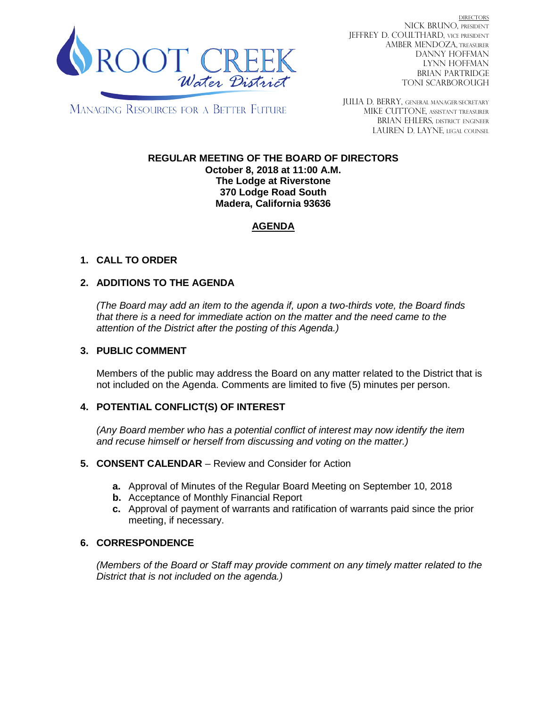

DIRECTORS NICK BRUNO, PRESIDENT JEFFREY D. COULTHARD, VICE PRESIDENT AMBER MENDOZA, TREASURER DANNY HOFFMAN LYNN HOFFMAN BRIAN PARTRIDGE TONI SCARBOROUGH

MANAGING RESOURCES FOR A BETTER FUTURE

JULIA D. BERRY, GENERAL MANAGER/secretary MIKE CUTTONE, Assistant treasurer BRIAN EHLERS, DISTRICT ENGINEER LAUREN D. LAYNE, LEGAL COUNSEL

#### **REGULAR MEETING OF THE BOARD OF DIRECTORS October 8, 2018 at 11:00 A.M. The Lodge at Riverstone 370 Lodge Road South Madera, California 93636**

# **AGENDA**

# **1. CALL TO ORDER**

## **2. ADDITIONS TO THE AGENDA**

*(The Board may add an item to the agenda if, upon a two-thirds vote, the Board finds that there is a need for immediate action on the matter and the need came to the attention of the District after the posting of this Agenda.)*

#### **3. PUBLIC COMMENT**

Members of the public may address the Board on any matter related to the District that is not included on the Agenda. Comments are limited to five (5) minutes per person.

### **4. POTENTIAL CONFLICT(S) OF INTEREST**

*(Any Board member who has a potential conflict of interest may now identify the item and recuse himself or herself from discussing and voting on the matter.)*

#### **5. CONSENT CALENDAR** – Review and Consider for Action

- **a.** Approval of Minutes of the Regular Board Meeting on September 10, 2018
- **b.** Acceptance of Monthly Financial Report
- **c.** Approval of payment of warrants and ratification of warrants paid since the prior meeting, if necessary.

### **6. CORRESPONDENCE**

*(Members of the Board or Staff may provide comment on any timely matter related to the District that is not included on the agenda.)*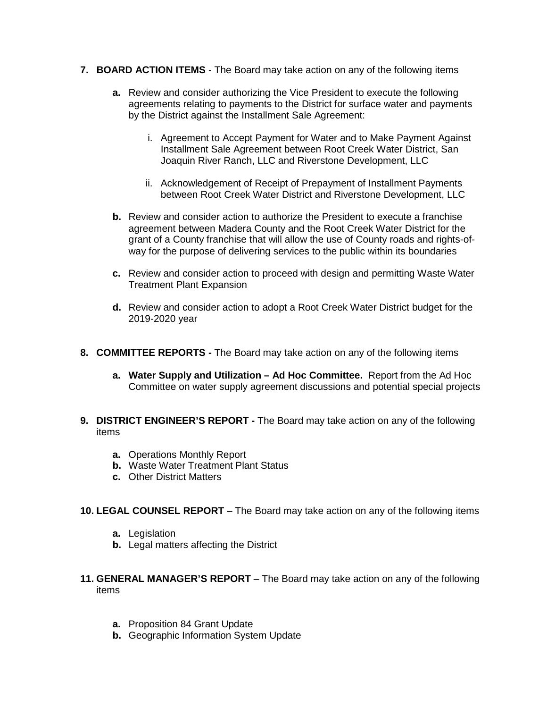- **7. BOARD ACTION ITEMS**  The Board may take action on any of the following items
	- **a.** Review and consider authorizing the Vice President to execute the following agreements relating to payments to the District for surface water and payments by the District against the Installment Sale Agreement:
		- i. Agreement to Accept Payment for Water and to Make Payment Against Installment Sale Agreement between Root Creek Water District, San Joaquin River Ranch, LLC and Riverstone Development, LLC
		- ii. Acknowledgement of Receipt of Prepayment of Installment Payments between Root Creek Water District and Riverstone Development, LLC
	- **b.** Review and consider action to authorize the President to execute a franchise agreement between Madera County and the Root Creek Water District for the grant of a County franchise that will allow the use of County roads and rights-ofway for the purpose of delivering services to the public within its boundaries
	- **c.** Review and consider action to proceed with design and permitting Waste Water Treatment Plant Expansion
	- **d.** Review and consider action to adopt a Root Creek Water District budget for the 2019-2020 year
- **8. COMMITTEE REPORTS -** The Board may take action on any of the following items
	- **a. Water Supply and Utilization – Ad Hoc Committee.** Report from the Ad Hoc Committee on water supply agreement discussions and potential special projects
- **9. DISTRICT ENGINEER'S REPORT -** The Board may take action on any of the following items
	- **a.** Operations Monthly Report
	- **b.** Waste Water Treatment Plant Status
	- **c.** Other District Matters
- **10. LEGAL COUNSEL REPORT** The Board may take action on any of the following items
	- **a.** Legislation
	- **b.** Legal matters affecting the District
- **11. GENERAL MANAGER'S REPORT** The Board may take action on any of the following items
	- **a.** Proposition 84 Grant Update
	- **b.** Geographic Information System Update